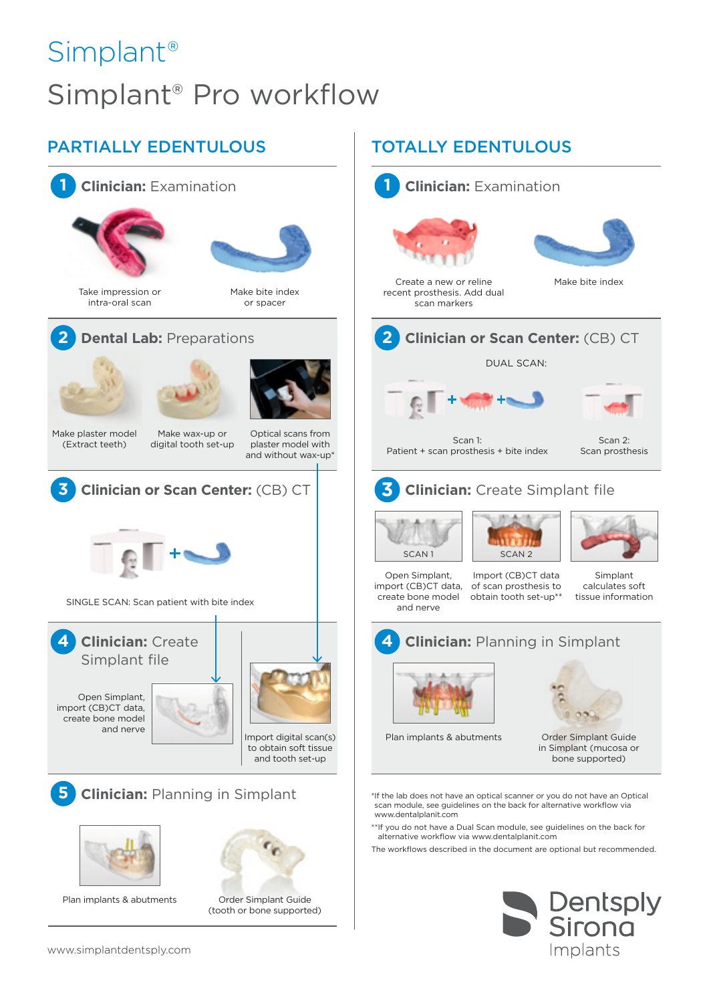# Simplant® Simplant® Pro workflow